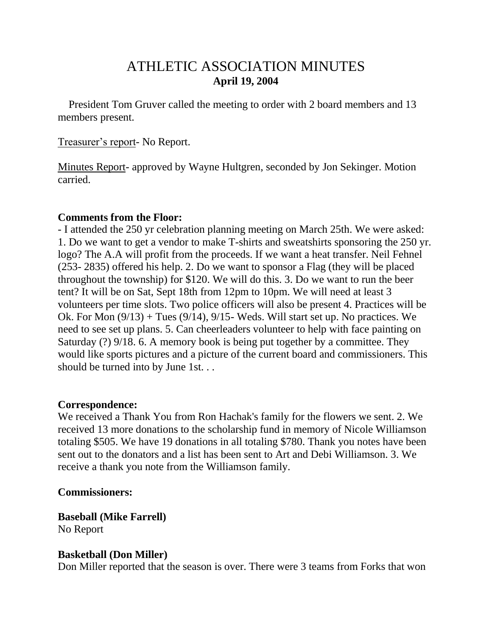# ATHLETIC ASSOCIATION MINUTES **April 19, 2004**

 President Tom Gruver called the meeting to order with 2 board members and 13 members present.

#### Treasurer's report- No Report.

Minutes Report- approved by Wayne Hultgren, seconded by Jon Sekinger. Motion carried.

#### **Comments from the Floor:**

- I attended the 250 yr celebration planning meeting on March 25th. We were asked: 1. Do we want to get a vendor to make T-shirts and sweatshirts sponsoring the 250 yr. logo? The A.A will profit from the proceeds. If we want a heat transfer. Neil Fehnel (253- 2835) offered his help. 2. Do we want to sponsor a Flag (they will be placed throughout the township) for \$120. We will do this. 3. Do we want to run the beer tent? It will be on Sat, Sept 18th from 12pm to 10pm. We will need at least 3 volunteers per time slots. Two police officers will also be present 4. Practices will be Ok. For Mon  $(9/13)$  + Tues  $(9/14)$ ,  $9/15$ - Weds. Will start set up. No practices. We need to see set up plans. 5. Can cheerleaders volunteer to help with face painting on Saturday (?) 9/18. 6. A memory book is being put together by a committee. They would like sports pictures and a picture of the current board and commissioners. This should be turned into by June 1st. . .

#### **Correspondence:**

We received a Thank You from Ron Hachak's family for the flowers we sent. 2. We received 13 more donations to the scholarship fund in memory of Nicole Williamson totaling \$505. We have 19 donations in all totaling \$780. Thank you notes have been sent out to the donators and a list has been sent to Art and Debi Williamson. 3. We receive a thank you note from the Williamson family.

#### **Commissioners:**

**Baseball (Mike Farrell)** No Report

#### **Basketball (Don Miller)**

Don Miller reported that the season is over. There were 3 teams from Forks that won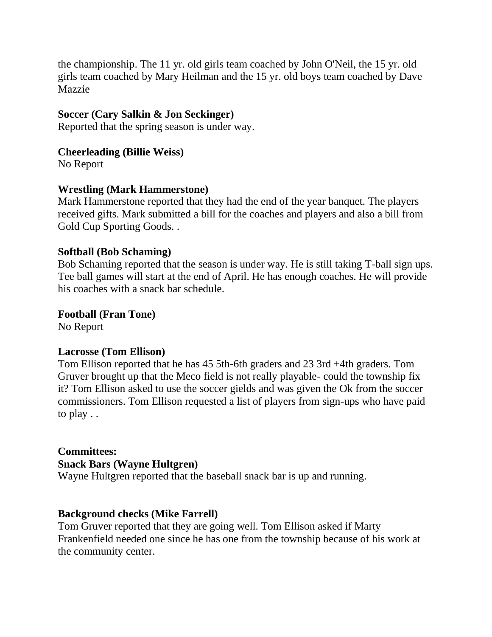the championship. The 11 yr. old girls team coached by John O'Neil, the 15 yr. old girls team coached by Mary Heilman and the 15 yr. old boys team coached by Dave Mazzie

#### **Soccer (Cary Salkin & Jon Seckinger)**

Reported that the spring season is under way.

#### **Cheerleading (Billie Weiss)**

No Report

# **Wrestling (Mark Hammerstone)**

Mark Hammerstone reported that they had the end of the year banquet. The players received gifts. Mark submitted a bill for the coaches and players and also a bill from Gold Cup Sporting Goods. .

# **Softball (Bob Schaming)**

Bob Schaming reported that the season is under way. He is still taking T-ball sign ups. Tee ball games will start at the end of April. He has enough coaches. He will provide his coaches with a snack bar schedule.

**Football (Fran Tone)**

No Report

#### **Lacrosse (Tom Ellison)**

Tom Ellison reported that he has 45 5th-6th graders and 23 3rd +4th graders. Tom Gruver brought up that the Meco field is not really playable- could the township fix it? Tom Ellison asked to use the soccer gields and was given the Ok from the soccer commissioners. Tom Ellison requested a list of players from sign-ups who have paid to play . .

# **Committees:**

#### **Snack Bars (Wayne Hultgren)**

Wayne Hultgren reported that the baseball snack bar is up and running.

# **Background checks (Mike Farrell)**

Tom Gruver reported that they are going well. Tom Ellison asked if Marty Frankenfield needed one since he has one from the township because of his work at the community center.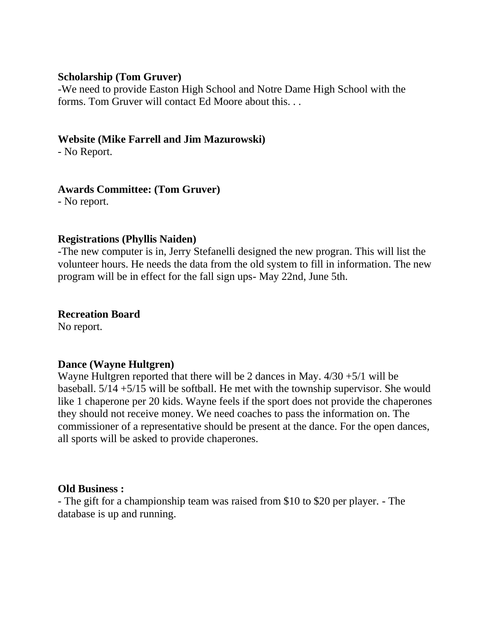#### **Scholarship (Tom Gruver)**

-We need to provide Easton High School and Notre Dame High School with the forms. Tom Gruver will contact Ed Moore about this. . .

#### **Website (Mike Farrell and Jim Mazurowski)**

- No Report.

# **Awards Committee: (Tom Gruver)**

- No report.

#### **Registrations (Phyllis Naiden)**

-The new computer is in, Jerry Stefanelli designed the new progran. This will list the volunteer hours. He needs the data from the old system to fill in information. The new program will be in effect for the fall sign ups- May 22nd, June 5th.

# **Recreation Board**

No report.

# **Dance (Wayne Hultgren)**

Wayne Hultgren reported that there will be 2 dances in May.  $4/30 + 5/1$  will be baseball. 5/14 +5/15 will be softball. He met with the township supervisor. She would like 1 chaperone per 20 kids. Wayne feels if the sport does not provide the chaperones they should not receive money. We need coaches to pass the information on. The commissioner of a representative should be present at the dance. For the open dances, all sports will be asked to provide chaperones.

#### **Old Business :**

- The gift for a championship team was raised from \$10 to \$20 per player. - The database is up and running.